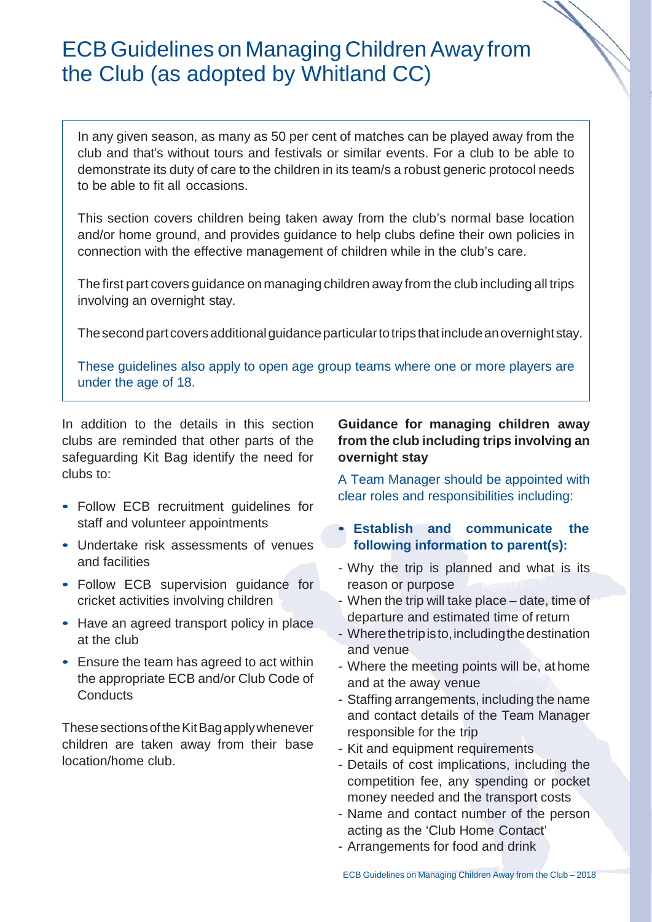# ECBGuidelines on Managing ChildrenAway from the Club (as adopted by Whitland CC)

In any given season, as many as 50 per cent of matches can be played away from the club and that's without tours and festivals or similar events. For a club to be able to demonstrate its duty of care to the children in its team/s a robust generic protocol needs to be able to fit all occasions.

This section covers children being taken away from the club's normal base location and/or home ground, and provides guidance to help clubs define their own policies in connection with the effective management of children while in the club's care.

The first part covers guidance on managing children away from the club including all trips involving an overnight stay.

The second part covers additional guidance particular to trips that include an overnight stay.

These guidelines also apply to open age group teams where one or more players are under the age of 18.

In addition to the details in this section clubs are reminded that other parts of the safeguarding Kit Bag identify the need for clubs to:

- Follow ECB recruitment guidelines for staff and volunteer appointments
- Undertake risk assessments of venues and facilities
- Follow ECB supervision guidance for cricket activities involving children
- Have an agreed transport policy in place at the club
- Ensure the team has agreed to act within the appropriate ECB and/or Club Code of **Conducts**

These sections of the Kit Bag apply whenever children are taken away from their base location/home club.

# **Guidance for managing children away from the club including trips involving an overnight stay**

A Team Manager should be appointed with clear roles and responsibilities including:

# • **Establish and communicate the following information to parent(s):**

- Why the trip is planned and what is its reason or purpose
- When the trip will take place date, time of departure and estimated time of return
- Wherethetripisto, includingthedestination and venue
- Where the meeting points will be, at home and at the away venue
- Staffing arrangements, including the name and contact details of the Team Manager responsible for the trip
- Kit and equipment requirements
- Details of cost implications, including the competition fee, any spending or pocket money needed and the transport costs
- Name and contact number of the person acting as the 'Club Home Contact'
- Arrangements for food and drink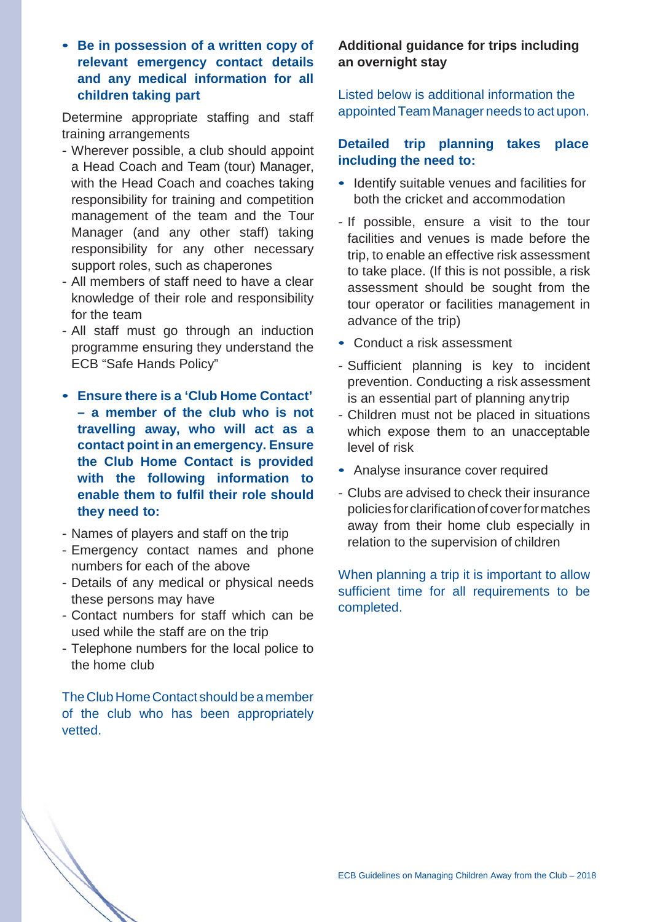• **Be in possession of a written copy of relevant emergency contact details and any medical information for all children taking part**

Determine appropriate staffing and staff training arrangements

- Wherever possible, a club should appoint a Head Coach and Team (tour) Manager, with the Head Coach and coaches taking responsibility for training and competition management of the team and the Tour Manager (and any other staff) taking responsibility for any other necessary support roles, such as chaperones
- All members of staff need to have a clear knowledge of their role and responsibility for the team
- All staff must go through an induction programme ensuring they understand the ECB "Safe Hands Policy"
- **Ensure there is a 'Club Home Contact' – a member of the club who is not travelling away, who will act as a contact point in an emergency. Ensure the Club Home Contact is provided with the following information to enable them to fulfil their role should they need to:**
- Names of players and staff on the trip
- Emergency contact names and phone numbers for each of the above
- Details of any medical or physical needs these persons may have
- Contact numbers for staff which can be used while the staff are on the trip
- Telephone numbers for the local police to the home club

The Club Home Contact should be a member of the club who has been appropriately vetted.

# **Additional guidance for trips including an overnight stay**

Listed below is additional information the appointed TeamManager needs to act upon.

#### **Detailed trip planning takes place including the need to:**

- Identify suitable venues and facilities for both the cricket and accommodation
- If possible, ensure a visit to the tour facilities and venues is made before the trip, to enable an effective risk assessment to take place. (If this is not possible, a risk assessment should be sought from the tour operator or facilities management in advance of the trip)
- Conduct a risk assessment
- Sufficient planning is key to incident prevention. Conducting a risk assessment is an essential part of planning anytrip
- Children must not be placed in situations which expose them to an unacceptable level of risk
- Analyse insurance cover required
- Clubs are advised to check their insurance policiesforclarificationof coverformatches away from their home club especially in relation to the supervision of children

When planning a trip it is important to allow sufficient time for all requirements to be completed.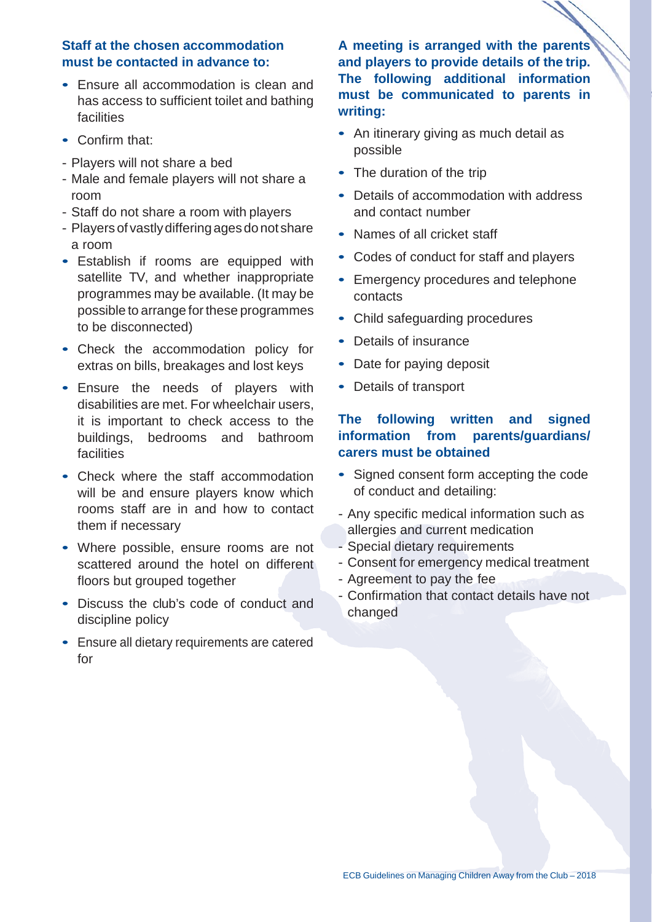#### **Staff at the chosen accommodation must be contacted in advance to:**

- Ensure all accommodation is clean and has access to sufficient toilet and bathing facilities
- Confirm that:
- Players will not share a bed
- Male and female players will not share a room
- Staff do not share a room with players
- Players of vastly differing ages donot share a room
- Establish if rooms are equipped with satellite TV, and whether inappropriate programmes may be available. (It may be possible to arrange for these programmes to be disconnected)
- Check the accommodation policy for extras on bills, breakages and lost keys
- Ensure the needs of players with disabilities are met. For wheelchair users, it is important to check access to the buildings, bedrooms and bathroom **facilities**
- Check where the staff accommodation will be and ensure players know which rooms staff are in and how to contact them if necessary
- Where possible, ensure rooms are not scattered around the hotel on different floors but grouped together
- Discuss the club's code of conduct and discipline policy
- Ensure all dietary requirements are catered for

**A meeting is arranged with the parents and players to provide details of the trip. The following additional information must be communicated to parents in writing:**

- An itinerary giving as much detail as possible
- The duration of the trip
- Details of accommodation with address and contact number
- Names of all cricket staff
- Codes of conduct for staff and players
- Emergency procedures and telephone contacts
- Child safeguarding procedures
- Details of insurance
- Date for paying deposit
- Details of transport

# **The following written and signed information from parents/guardians/ carers must be obtained**

- Signed consent form accepting the code of conduct and detailing:
- Any specific medical information such as allergies and current medication
- Special dietary requirements
- Consent for emergency medical treatment
- Agreement to pay the fee
- Confirmation that contact details have not changed